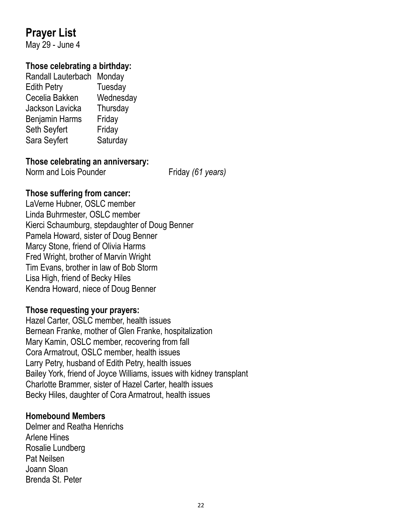# **Prayer List**

May 29 - June 4

## **Those celebrating a birthday:**

| Randall Lauterbach    | Monday    |
|-----------------------|-----------|
| <b>Edith Petry</b>    | Tuesday   |
| Cecelia Bakken        | Wednesday |
| Jackson Lavicka       | Thursday  |
| <b>Benjamin Harms</b> | Friday    |
| Seth Seyfert          | Friday    |
| Sara Seyfert          | Saturday  |
|                       |           |

## **Those celebrating an anniversary:**

Norm and Lois Pounder Friday *(61 years)* 

## **Those suffering from cancer:**

LaVerne Hubner, OSLC member Linda Buhrmester, OSLC member Kierci Schaumburg, stepdaughter of Doug Benner Pamela Howard, sister of Doug Benner Marcy Stone, friend of Olivia Harms Fred Wright, brother of Marvin Wright Tim Evans, brother in law of Bob Storm Lisa High, friend of Becky Hiles Kendra Howard, niece of Doug Benner

## **Those requesting your prayers:**

Hazel Carter, OSLC member, health issues Bernean Franke, mother of Glen Franke, hospitalization Mary Kamin, OSLC member, recovering from fall Cora Armatrout, OSLC member, health issues Larry Petry, husband of Edith Petry, health issues Bailey York, friend of Joyce Williams, issues with kidney transplant Charlotte Brammer, sister of Hazel Carter, health issues Becky Hiles, daughter of Cora Armatrout, health issues

## **Homebound Members**

Delmer and Reatha Henrichs Arlene Hines Rosalie Lundberg Pat Neilsen Joann Sloan Brenda St. Peter